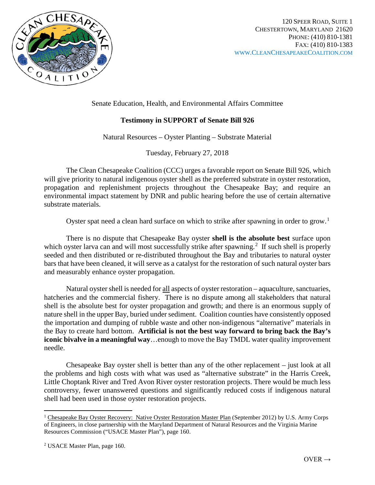

Senate Education, Health, and Environmental Affairs Committee

## **Testimony in SUPPORT of Senate Bill 926**

Natural Resources – Oyster Planting – Substrate Material

Tuesday, February 27, 2018

The Clean Chesapeake Coalition (CCC) urges a favorable report on Senate Bill 926, which will give priority to natural indigenous oyster shell as the preferred substrate in oyster restoration, propagation and replenishment projects throughout the Chesapeake Bay; and require an environmental impact statement by DNR and public hearing before the use of certain alternative substrate materials.

Oyster spat need a clean hard surface on which to strike after spawning in order to grow.<sup>[1](#page-0-0)</sup>

There is no dispute that Chesapeake Bay oyster **shell is the absolute best** surface upon which oyster larva can and will most successfully strike after spawning.<sup>[2](#page-0-1)</sup> If such shell is properly seeded and then distributed or re-distributed throughout the Bay and tributaries to natural oyster bars that have been cleaned, it will serve as a catalyst for the restoration of such natural oyster bars and measurably enhance oyster propagation.

Natural oyster shell is needed for all aspects of oyster restoration – aquaculture, sanctuaries, hatcheries and the commercial fishery. There is no dispute among all stakeholders that natural shell is the absolute best for oyster propagation and growth; and there is an enormous supply of nature shell in the upper Bay, buried under sediment. Coalition counties have consistently opposed the importation and dumping of rubble waste and other non-indigenous "alternative" materials in the Bay to create hard bottom. **Artificial is not the best way forward to bring back the Bay's iconic bivalve in a meaningful way**…enough to move the Bay TMDL water quality improvement needle.

Chesapeake Bay oyster shell is better than any of the other replacement – just look at all the problems and high costs with what was used as "alternative substrate" in the Harris Creek, Little Choptank River and Tred Avon River oyster restoration projects. There would be much less controversy, fewer unanswered questions and significantly reduced costs if indigenous natural shell had been used in those oyster restoration projects.

 $\overline{\phantom{a}}$ 

<span id="page-0-0"></span><sup>&</sup>lt;sup>1</sup> Chesapeake Bay Oyster Recovery: Native Oyster Restoration Master Plan (September 2012) by U.S. Army Corps of Engineers, in close partnership with the Maryland Department of Natural Resources and the Virginia Marine Resources Commission ("USACE Master Plan"), page 160.

<span id="page-0-1"></span><sup>2</sup> USACE Master Plan, page 160.